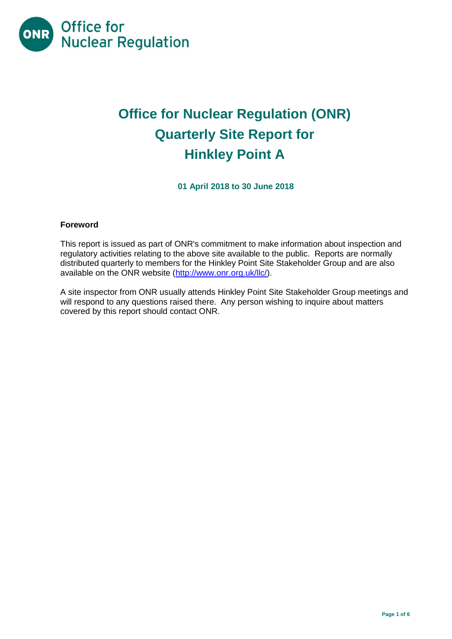

# **Office for Nuclear Regulation (ONR) Quarterly Site Report for Hinkley Point A**

**01 April 2018 to 30 June 2018**

## **Foreword**

This report is issued as part of ONR's commitment to make information about inspection and regulatory activities relating to the above site available to the public. Reports are normally distributed quarterly to members for the Hinkley Point Site Stakeholder Group and are also available on the ONR website [\(http://www.onr.org.uk/llc/\)](http://www.onr.org.uk/llc/).

A site inspector from ONR usually attends Hinkley Point Site Stakeholder Group meetings and will respond to any questions raised there. Any person wishing to inquire about matters covered by this report should contact ONR.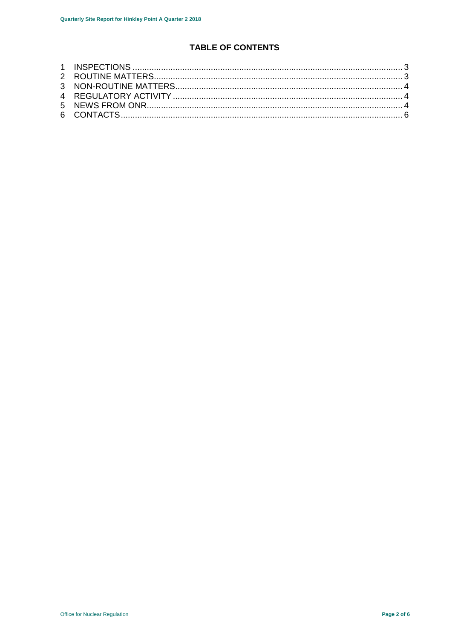## TABLE OF CONTENTS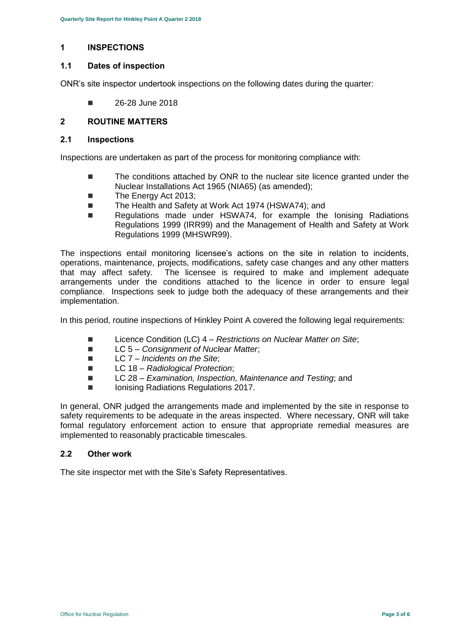### <span id="page-2-0"></span>**1 INSPECTIONS**

#### **1.1 Dates of inspection**

ONR's site inspector undertook inspections on the following dates during the quarter:

 $\blacksquare$  26-28 June 2018

## <span id="page-2-1"></span>**2 ROUTINE MATTERS**

#### **2.1 Inspections**

Inspections are undertaken as part of the process for monitoring compliance with:

- The conditions attached by ONR to the nuclear site licence granted under the Nuclear Installations Act 1965 (NIA65) (as amended);
- The Energy Act 2013:
- The Health and Safety at Work Act 1974 (HSWA74); and
- Regulations made under HSWA74, for example the Ionising Radiations Regulations 1999 (IRR99) and the Management of Health and Safety at Work Regulations 1999 (MHSWR99).

The inspections entail monitoring licensee's actions on the site in relation to incidents, operations, maintenance, projects, modifications, safety case changes and any other matters that may affect safety. The licensee is required to make and implement adequate arrangements under the conditions attached to the licence in order to ensure legal compliance. Inspections seek to judge both the adequacy of these arrangements and their implementation.

In this period, routine inspections of Hinkley Point A covered the following legal requirements:

- Licence Condition (LC) 4 *Restrictions on Nuclear Matter on Site*;
- LC 5 *Consignment of Nuclear Matter*;
- LC 7 *Incidents on the Site*;
- LC 18 *Radiological Protection*;
- LC 28 *Examination, Inspection, Maintenance and Testing*; and
- Ionising Radiations Regulations 2017.

In general, ONR judged the arrangements made and implemented by the site in response to safety requirements to be adequate in the areas inspected. Where necessary, ONR will take formal regulatory enforcement action to ensure that appropriate remedial measures are implemented to reasonably practicable timescales.

#### **2.2 Other work**

The site inspector met with the Site's Safety Representatives.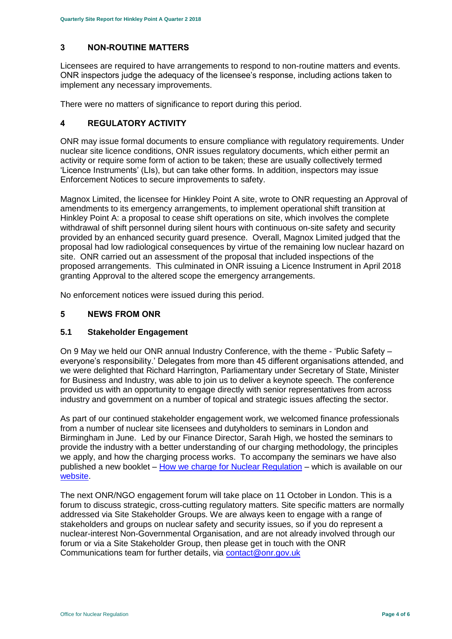## <span id="page-3-0"></span>**3 NON-ROUTINE MATTERS**

Licensees are required to have arrangements to respond to non-routine matters and events. ONR inspectors judge the adequacy of the licensee's response, including actions taken to implement any necessary improvements.

There were no matters of significance to report during this period.

## <span id="page-3-1"></span>**4 REGULATORY ACTIVITY**

ONR may issue formal documents to ensure compliance with regulatory requirements. Under nuclear site licence conditions, ONR issues regulatory documents, which either permit an activity or require some form of action to be taken; these are usually collectively termed 'Licence Instruments' (LIs), but can take other forms. In addition, inspectors may issue Enforcement Notices to secure improvements to safety.

Magnox Limited, the licensee for Hinkley Point A site, wrote to ONR requesting an Approval of amendments to its emergency arrangements, to implement operational shift transition at Hinkley Point A: a proposal to cease shift operations on site, which involves the complete withdrawal of shift personnel during silent hours with continuous on-site safety and security provided by an enhanced security guard presence. Overall, Magnox Limited judged that the proposal had low radiological consequences by virtue of the remaining low nuclear hazard on site. ONR carried out an assessment of the proposal that included inspections of the proposed arrangements. This culminated in ONR issuing a Licence Instrument in April 2018 granting Approval to the altered scope the emergency arrangements.

No enforcement notices were issued during this period.

## <span id="page-3-2"></span>**5 NEWS FROM ONR**

## **5.1 Stakeholder Engagement**

On 9 May we held our ONR annual Industry Conference, with the theme - 'Public Safety – everyone's responsibility.' Delegates from more than 45 different organisations attended, and we were delighted that Richard Harrington, Parliamentary under Secretary of State, Minister for Business and Industry, was able to join us to deliver a keynote speech. The conference provided us with an opportunity to engage directly with senior representatives from across industry and government on a number of topical and strategic issues affecting the sector.

As part of our continued stakeholder engagement work, we welcomed finance professionals from a number of nuclear site licensees and dutyholders to seminars in London and Birmingham in June. Led by our Finance Director, Sarah High, we hosted the seminars to provide the industry with a better understanding of our charging methodology, the principles we apply, and how the charging process works. To accompany the seminars we have also published a new booklet – [How we charge for Nuclear Regulation](http://www.onr.org.uk/documents/2018/how-we-charge-for-nuclear-regulation.pdf) – which is available on our [website.](http://www.onr.org.uk/documents/2018/how-we-charge-for-nuclear-regulation.pdf)

The next ONR/NGO engagement forum will take place on 11 October in London. This is a forum to discuss strategic, cross-cutting regulatory matters. Site specific matters are normally addressed via Site Stakeholder Groups. We are always keen to engage with a range of stakeholders and groups on nuclear safety and security issues, so if you do represent a nuclear-interest Non-Governmental Organisation, and are not already involved through our forum or via a Site Stakeholder Group, then please get in touch with the ONR Communications team for further details, via [contact@onr.gov.uk](mailto:contact@onr.gov.uk)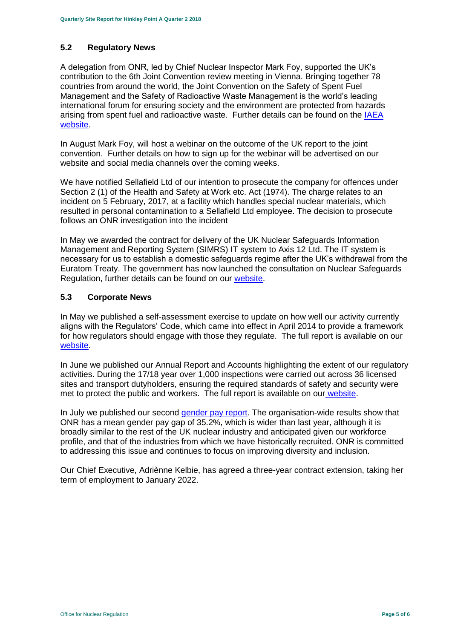## **5.2 Regulatory News**

A delegation from ONR, led by Chief Nuclear Inspector Mark Foy, supported the UK's contribution to the 6th Joint Convention review meeting in Vienna. Bringing together 78 countries from around the world, the Joint Convention on the Safety of Spent Fuel Management and the Safety of Radioactive Waste Management is the world's leading international forum for ensuring society and the environment are protected from hazards arising from spent fuel and radioactive waste. Further details can be found on the [IAEA](https://www.iaea.org/events/sixth-review-meeting-of-the-contracting-parties-to-the-joint-convention-on-the-safety-of-spent-fuel-management-and-on-the-safety-of-radioactive-waste-management-joint-convention)  [website.](https://www.iaea.org/events/sixth-review-meeting-of-the-contracting-parties-to-the-joint-convention-on-the-safety-of-spent-fuel-management-and-on-the-safety-of-radioactive-waste-management-joint-convention)

In August Mark Foy, will host a webinar on the outcome of the UK report to the joint convention. Further details on how to sign up for the webinar will be advertised on our website and social media channels over the coming weeks.

We have notified Sellafield Ltd of our intention to prosecute the company for offences under Section 2 (1) of the Health and Safety at Work etc. Act (1974). The charge relates to an incident on 5 February, 2017, at a facility which handles special nuclear materials, which resulted in personal contamination to a Sellafield Ltd employee. The decision to prosecute follows an ONR investigation into the incident

In May we awarded the contract for delivery of the UK Nuclear Safeguards Information Management and Reporting System (SIMRS) IT system to Axis 12 Ltd. The IT system is necessary for us to establish a domestic safeguards regime after the UK's withdrawal from the Euratom Treaty. The government has now launched the consultation on Nuclear Safeguards Regulation, further details can be found on our [website.](http://news.onr.org.uk/2018/07/government-consults-on-nuclear-safeguards-regulations/)

## **5.3 Corporate News**

In May we published a self-assessment exercise to update on how well our activity currently aligns with the Regulators' Code, which came into effect in April 2014 to provide a framework for how regulators should engage with those they regulate. The full report is available on our [website.](http://www.onr.org.uk/regulators-code.htm)

In June we published our Annual Report and Accounts highlighting the extent of our regulatory activities. During the 17/18 year over 1,000 inspections were carried out across 36 licensed sites and transport dutyholders, ensuring the required standards of safety and security were met to protect the public and workers. The full report is available on our [website.](http://news.onr.org.uk/2018/06/annual-report-and-accounts-published/)

In July we published our second [gender pay report.](http://news.onr.org.uk/2018/07/onr-publishes-second-gender-pay-report/) The organisation-wide results show that ONR has a mean gender pay gap of 35.2%, which is wider than last year, although it is broadly similar to the rest of the UK nuclear industry and anticipated given our workforce profile, and that of the industries from which we have historically recruited. ONR is committed to addressing this issue and continues to focus on improving diversity and inclusion.

Our Chief Executive, Adriènne Kelbie, has agreed a three-year contract extension, taking her term of employment to January 2022.